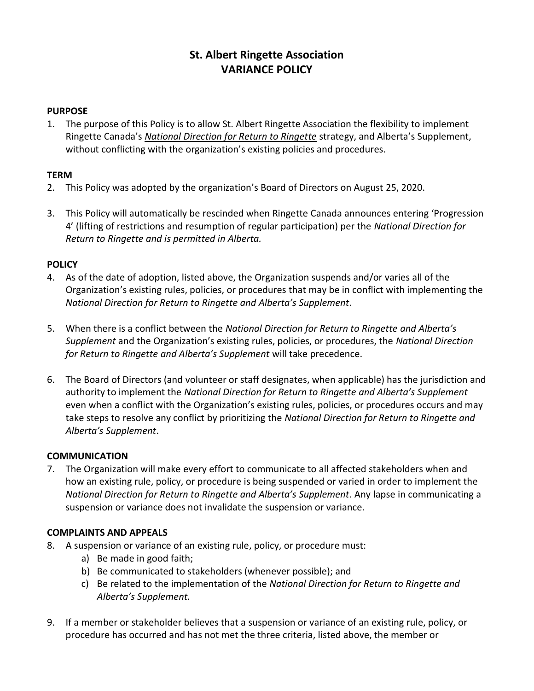# St. Albert Ringette Association VARIANCE POLICY

#### **PURPOSE**

1. The purpose of this Policy is to allow St. Albert Ringette Association the flexibility to implement Ringette Canada's National Direction for Return to Ringette strategy, and Alberta's Supplement, without conflicting with the organization's existing policies and procedures.

## **TFRM**

- 2. This Policy was adopted by the organization's Board of Directors on August 25, 2020.
- 3. This Policy will automatically be rescinded when Ringette Canada announces entering 'Progression 4' (lifting of restrictions and resumption of regular participation) per the National Direction for Return to Ringette and is permitted in Alberta.

## **POLICY**

- 4. As of the date of adoption, listed above, the Organization suspends and/or varies all of the Organization's existing rules, policies, or procedures that may be in conflict with implementing the National Direction for Return to Ringette and Alberta's Supplement.
- 5. When there is a conflict between the National Direction for Return to Ringette and Alberta's Supplement and the Organization's existing rules, policies, or procedures, the National Direction for Return to Ringette and Alberta's Supplement will take precedence.
- 6. The Board of Directors (and volunteer or staff designates, when applicable) has the jurisdiction and authority to implement the National Direction for Return to Ringette and Alberta's Supplement even when a conflict with the Organization's existing rules, policies, or procedures occurs and may take steps to resolve any conflict by prioritizing the National Direction for Return to Ringette and Alberta's Supplement.

#### **COMMUNICATION**

7. The Organization will make every effort to communicate to all affected stakeholders when and how an existing rule, policy, or procedure is being suspended or varied in order to implement the National Direction for Return to Ringette and Alberta's Supplement. Any lapse in communicating a suspension or variance does not invalidate the suspension or variance.

## COMPLAINTS AND APPEALS

- 8. A suspension or variance of an existing rule, policy, or procedure must:
	- a) Be made in good faith;
	- b) Be communicated to stakeholders (whenever possible); and
	- c) Be related to the implementation of the National Direction for Return to Ringette and Alberta's Supplement.
- 9. If a member or stakeholder believes that a suspension or variance of an existing rule, policy, or procedure has occurred and has not met the three criteria, listed above, the member or